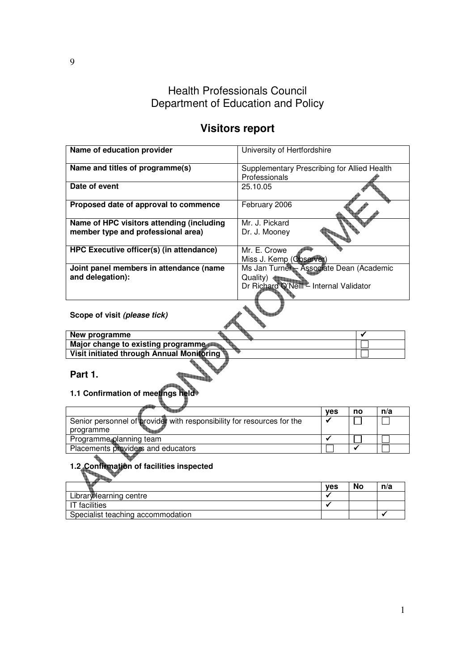# Health Professionals Council Department of Education and Policy

# **Visitors report**

| Name of education provider                | University of Hertfordshire                 |
|-------------------------------------------|---------------------------------------------|
| Name and titles of programme(s)           | Supplementary Prescribing for Allied Health |
|                                           | Professionals                               |
| Date of event                             | 25.10.05                                    |
| Proposed date of approval to commence     | February 2006                               |
| Name of HPC visitors attending (including | Mr. J. Pickard                              |
| member type and professional area)        | Dr. J. Mooney                               |
| HPC Executive officer(s) (in attendance)  | Mr. E. Crowe                                |
|                                           | Miss J. Kemp (Observer)                     |
| Joint panel members in attendance (name   | Ms Jan Turner Associate Dean (Academic      |
| and delegation):                          | Quality)                                    |
|                                           | Dr Richard Q'Neill - Internal Validator     |
|                                           |                                             |
| Scope of visit (please tick)              |                                             |
| Naur was sussex                           |                                             |

| New programme                             |  |
|-------------------------------------------|--|
| Major change to existing programme        |  |
| Visit initiated through Annual Monitoring |  |
| Part                                      |  |

**Part 1.** 

**1.1 Confirmation of meetings held**

|                                                                        | <b>ves</b> | no | n/a |
|------------------------------------------------------------------------|------------|----|-----|
| Senior personnel of provider with responsibility for resources for the |            |    |     |
| programme                                                              |            |    |     |
| Programme planning team                                                |            |    |     |
| Placements providers and educators                                     |            |    |     |

# **1.2 Confirmation of facilities inspected**

|                                   | <b>ves</b> | No | n/a |
|-----------------------------------|------------|----|-----|
| Library learning centre           |            |    |     |
| IT facilities                     |            |    |     |
| Specialist teaching accommodation |            |    |     |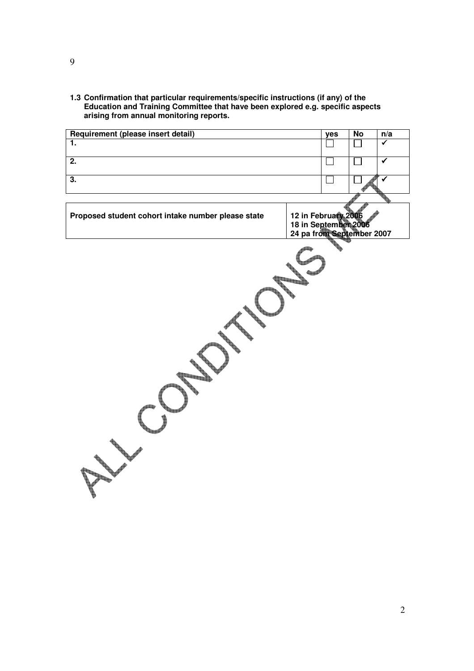**1.3 Confirmation that particular requirements/specific instructions (if any) of the Education and Training Committee that have been explored e.g. specific aspects arising from annual monitoring reports.** 

| Requirement (please insert detail)                 |                                                                          | yes | <b>No</b> | n/a                     |
|----------------------------------------------------|--------------------------------------------------------------------------|-----|-----------|-------------------------|
| 1.                                                 |                                                                          |     |           | $\overline{\checkmark}$ |
| $\overline{2}$ .                                   |                                                                          |     |           | $\overline{\checkmark}$ |
| $\overline{3}$ .                                   |                                                                          |     |           | $\checkmark$            |
|                                                    |                                                                          |     |           |                         |
| Proposed student cohort intake number please state | 12 in February 2006<br>18 in September 2006<br>24 pa from September 2007 |     |           |                         |
|                                                    |                                                                          |     |           |                         |

9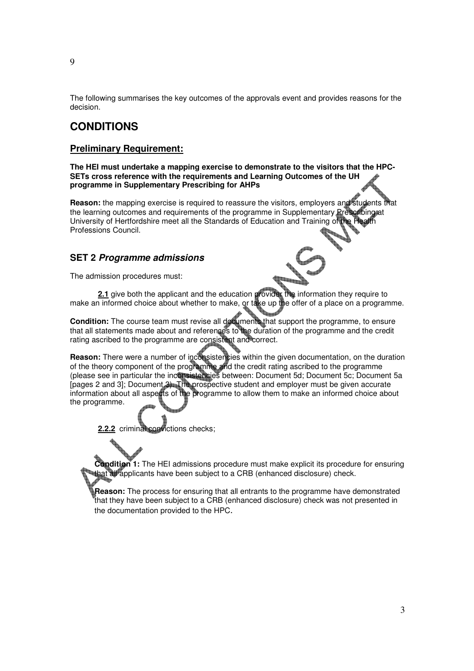The following summarises the key outcomes of the approvals event and provides reasons for the decision.

### **CONDITIONS**

#### **Preliminary Requirement:**

**The HEI must undertake a mapping exercise to demonstrate to the visitors that the HPC-SETs cross reference with the requirements and Learning Outcomes of the UH programme in Supplementary Prescribing for AHPs** 

**Reason:** the mapping exercise is required to reassure the visitors, employers and students that the learning outcomes and requirements of the programme in Supplementary Prescribing at University of Hertfordshire meet all the Standards of Education and Training of Professions Council.

#### **SET 2 Programme admissions**

The admission procedures must:

**2.1** give both the applicant and the education provider the information they require to make an informed choice about whether to make, or take up the offer of a place on a programme.

**Condition:** The course team must revise all documents that support the programme, to ensure that all statements made about and references to the duration of the programme and the credit rating ascribed to the programme are consistent and correct.

**Reason:** There were a number of inconsistencies within the given documentation, on the duration of the theory component of the programme and the credit rating ascribed to the programme (please see in particular the inconsistencies between: Document 5d; Document 5c; Document 5a [pages 2 and 3]; Document 3). The prospective student and employer must be given accurate information about all aspects of the programme to allow them to make an informed choice about the programme.

**2.2.2** criminal convictions checks;

**Condition 1:** The HEI admissions procedure must make explicit its procedure for ensuring that all applicants have been subject to a CRB (enhanced disclosure) check.

**Reason:** The process for ensuring that all entrants to the programme have demonstrated that they have been subject to a CRB (enhanced disclosure) check was not presented in the documentation provided to the HPC.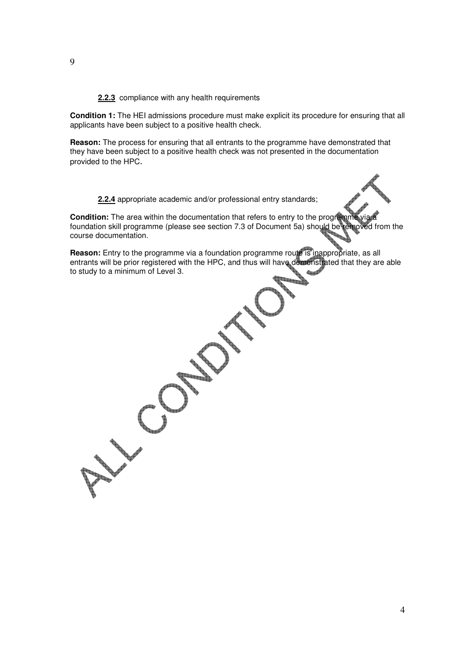**2.2.3** compliance with any health requirements

**Condition 1:** The HEI admissions procedure must make explicit its procedure for ensuring that all applicants have been subject to a positive health check.

**Reason:** The process for ensuring that all entrants to the programme have demonstrated that they have been subject to a positive health check was not presented in the documentation provided to the HPC.

**2.2.4** appropriate academic and/or professional entry standards;

**Condition:** The area within the documentation that refers to entry to the programme foundation skill programme (please see section 7.3 of Document 5a) should be removed from the course documentation.

**Reason:** Entry to the programme via a foundation programme route is inappropriate, as all entrants will be prior registered with the HPC, and thus will have demonstrated that they are able to study to a minimum of Level 3.

9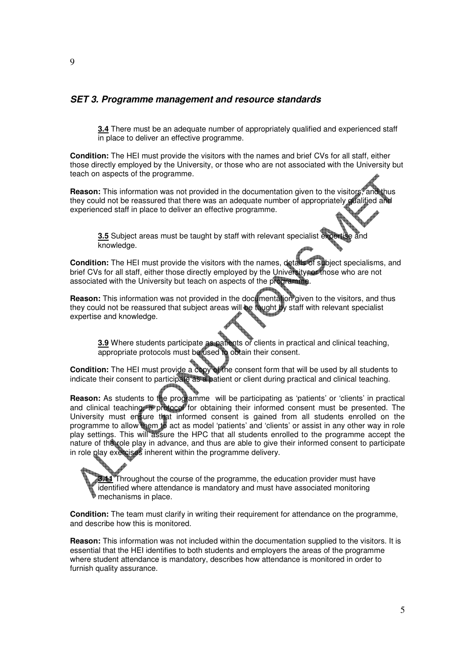#### **SET 3. Programme management and resource standards**

**3.4** There must be an adequate number of appropriately qualified and experienced staff in place to deliver an effective programme.

**Condition:** The HEI must provide the visitors with the names and brief CVs for all staff, either those directly employed by the University, or those who are not associated with the University but teach on aspects of the programme.

**Reason:** This information was not provided in the documentation given to the visitors, and thus they could not be reassured that there was an adequate number of appropriately qualitied and experienced staff in place to deliver an effective programme.

**3.5** Subject areas must be taught by staff with relevant specialist expertise and knowledge.

**Condition:** The HEI must provide the visitors with the names, details of subject specialisms, and brief CVs for all staff, either those directly employed by the University, or those who are not associated with the University but teach on aspects of the programme.

**Reason:** This information was not provided in the documentation given to the visitors, and thus they could not be reassured that subject areas will be taught by staff with relevant specialist expertise and knowledge.

**3.9** Where students participate as patients or clients in practical and clinical teaching, appropriate protocols must be used to obtain their consent.

**Condition:** The HEI must provide a copy of the consent form that will be used by all students to indicate their consent to participate as a patient or client during practical and clinical teaching.

**Reason:** As students to the programme will be participating as 'patients' or 'clients' in practical and clinical teaching, a protocol for obtaining their informed consent must be presented. The University must ensure that informed consent is gained from all students enrolled on the programme to allow them to act as model 'patients' and 'clients' or assist in any other way in role play settings. This will assure the HPC that all students enrolled to the programme accept the nature of the role play in advance, and thus are able to give their informed consent to participate in role play exercises inherent within the programme delivery.

**3.11** Throughout the course of the programme, the education provider must have identified where attendance is mandatory and must have associated monitoring mechanisms in place.

**Condition:** The team must clarify in writing their requirement for attendance on the programme, and describe how this is monitored.

**Reason:** This information was not included within the documentation supplied to the visitors. It is essential that the HEI identifies to both students and employers the areas of the programme where student attendance is mandatory, describes how attendance is monitored in order to furnish quality assurance.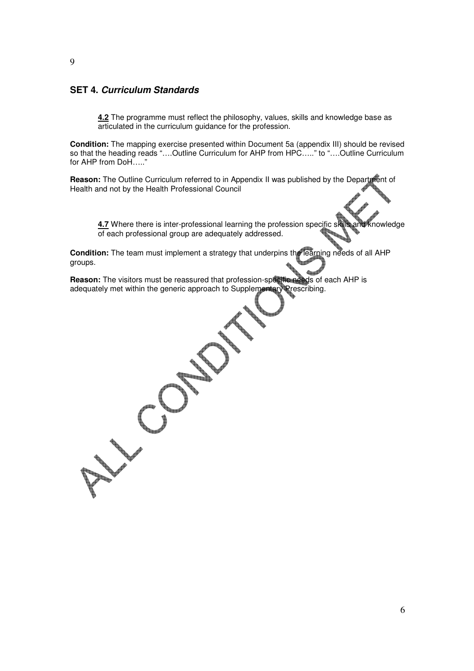#### **SET 4. Curriculum Standards**

**4.2** The programme must reflect the philosophy, values, skills and knowledge base as articulated in the curriculum guidance for the profession.

**Condition:** The mapping exercise presented within Document 5a (appendix III) should be revised so that the heading reads "....Outline Curriculum for AHP from HPC....." to "....Outline Curriculum for AHP from DoH….."

**Reason:** The Outline Curriculum referred to in Appendix II was published by the Department of Health and not by the Health Professional Council

**4.7** Where there is inter-professional learning the profession specific skills and knowledge of each professional group are adequately addressed.

**Condition:** The team must implement a strategy that underpins the learning needs of all AHP groups.

**Reason:** The visitors must be reassured that profession-specific needs of each AHP is adequately met within the generic approach to Supplementary Prescribing.

9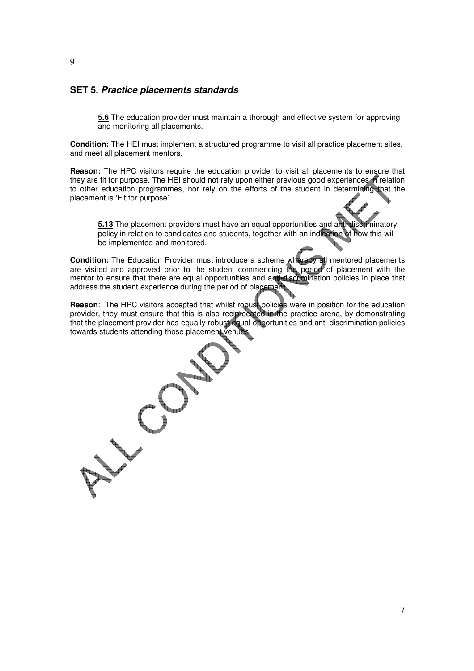#### **SET 5. Practice placements standards**

**5.6** The education provider must maintain a thorough and effective system for approving and monitoring all placements.

**Condition:** The HEI must implement a structured programme to visit all practice placement sites, and meet all placement mentors.

**Reason:** The HPC visitors require the education provider to visit all placements to ensure that they are fit for purpose. The HEI should not rely upon either previous good experiences in relation to other education programmes, nor rely on the efforts of the student in determining that the placement is 'Fit for purpose'.

**5.13** The placement providers must have an equal opportunities and anti-discriminatory<br>policy in relation to candidates and students, together with an indication of how this will  $\overline{\text{policy}}$  in relation to candidates and students, together with an indication be implemented and monitored.

**Condition:** The Education Provider must introduce a scheme whereby all mentored placements are visited and approved prior to the student commencing the period of placement with the mentor to ensure that there are equal opportunities and anti-discrimination policies in place that address the student experience during the period of placement.

**Reason:** The HPC visitors accepted that whilst robust policies were in position for the education provider, they must ensure that this is also reciprocated in the practice arena, by demonstrating that the placement provider has equally robust equal opportunities and anti-discrimination policies towards students attending those placement venues.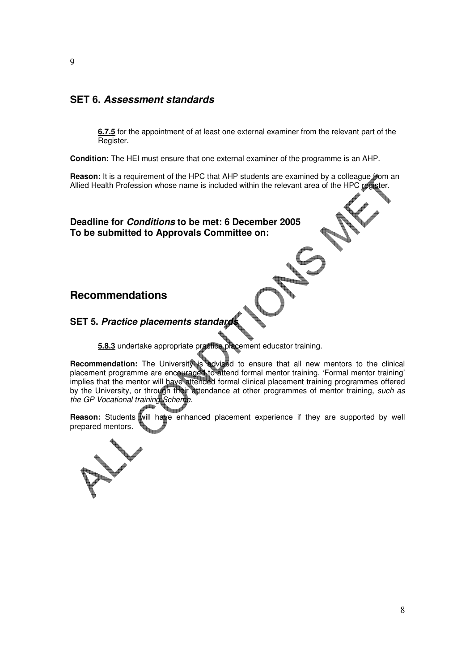#### **SET 6. Assessment standards**

**6.7.5** for the appointment of at least one external examiner from the relevant part of the Register.

**Condition:** The HEI must ensure that one external examiner of the programme is an AHP.

**Reason:** It is a requirement of the HPC that AHP students are examined by a colleague *from* an Allied Health Profession whose name is included within the relevant area of the HPC register.

**Deadline for Conditions to be met: 6 December 2005 To be submitted to Approvals Committee on:** 

#### **Recommendations**

#### **SET 5. Practice placements standard**

**5.8.3** undertake appropriate practice placement educator training.

**Recommendation:** The University is advised to ensure that all new mentors to the clinical placement programme are encouraged to attend formal mentor training. 'Formal mentor training' implies that the mentor will have attended formal clinical placement training programmes offered by the University, or through their attendance at other programmes of mentor training, such as the GP Vocational training Scheme.

**Reason:** Students will have enhanced placement experience if they are supported by well prepared mentors.

#### 9